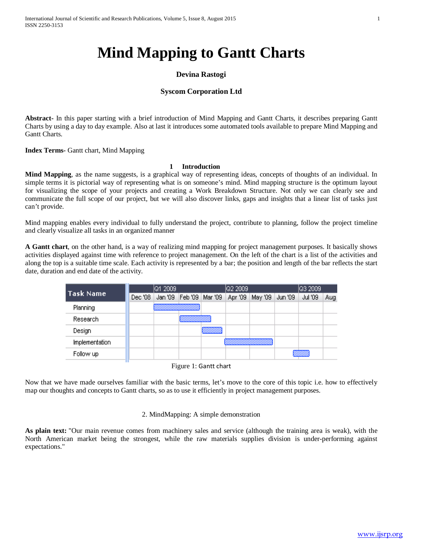# **Devina Rastogi**

## **Syscom Corporation Ltd**

**Abstract-** In this paper starting with a brief introduction of Mind Mapping and Gantt Charts, it describes preparing Gantt Charts by using a day to day example. Also at last it introduces some automated tools available to prepare Mind Mapping and Gantt Charts.

**Index Terms-** Gantt chart, Mind Mapping

# **1 Introduction**

**Mind Mapping**, as the name suggests, is a graphical way of representing ideas, concepts of thoughts of an individual. In simple terms it is pictorial way of representing what is on someone's mind. Mind mapping structure is the optimum layout for visualizing the scope of your projects and creating a Work Breakdown Structure. Not only we can clearly see and communicate the full scope of our project, but we will also discover links, gaps and insights that a linear list of tasks just can't provide.

Mind mapping enables every individual to fully understand the project, contribute to planning, follow the project timeline and clearly visualize all tasks in an organized manner

**A Gantt chart**, on the other hand, is a way of realizing mind mapping for project management purposes. It basically shows activities displayed against time with reference to project management. On the left of the chart is a list of the activities and along the top is a suitable time scale. Each activity is represented by a bar; the position and length of the bar reflects the start date, duration and end date of the activity.

| <b>Task Name</b> |         | Q1 2009 |                   | <b>Q2 2009</b> | Q3 2009 |         |         |     |  |
|------------------|---------|---------|-------------------|----------------|---------|---------|---------|-----|--|
|                  | Dec '08 | Jan '09 | Feb '09   Mar '09 | Apr '09        | May '09 | Jun '09 | Jul '09 | Aug |  |
| Planning         |         |         |                   |                |         |         |         |     |  |
| <b>Research</b>  |         |         |                   |                |         |         |         |     |  |
| Design           |         |         | mmm               |                |         |         |         |     |  |
| Implementation   |         |         |                   |                |         |         |         |     |  |
| Follow up        |         |         |                   |                |         |         |         |     |  |

Figure 1: Gantt chart

Now that we have made ourselves familiar with the basic terms, let's move to the core of this topic i.e. how to effectively map our thoughts and concepts to Gantt charts, so as to use it efficiently in project management purposes.

### 2. MindMapping: A simple demonstration

**As plain text:** "Our main revenue comes from machinery sales and service (although the training area is weak), with the North American market being the strongest, while the raw materials supplies division is under-performing against expectations."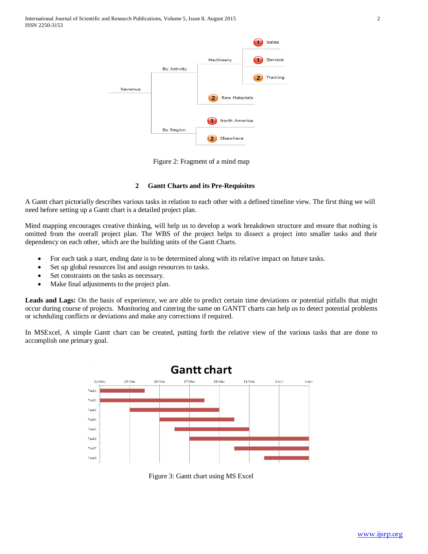|         |                    |                           | <b>Sales</b> |
|---------|--------------------|---------------------------|--------------|
|         |                    | Machinery                 | Service      |
|         | <b>By Activity</b> |                           |              |
|         |                    |                           | Training     |
| Revenue |                    |                           |              |
|         |                    | <b>Raw Materials</b><br>2 |              |
|         |                    | North America             |              |
|         | <b>By Region</b>   |                           |              |
|         |                    | Elsewhere<br>2            |              |

Figure 2: Fragment of a mind map

## **2 Gantt Charts and its Pre-Requisites**

A Gantt chart pictorially describes various tasks in relation to each other with a defined timeline view. The first thing we will need before setting up a Gantt chart is a detailed project plan.

Mind mapping encourages creative thinking, will help us to develop a work breakdown structure and ensure that nothing is omitted from the overall project plan. The WBS of the project helps to dissect a project into smaller tasks and their dependency on each other, which are the building units of the Gantt Charts.

- For each task a start, ending date is to be determined along with its relative impact on future tasks.
- Set up global resources list and assign resources to tasks.
- Set constraints on the tasks as necessary.
- Make final adjustments to the project plan.

**Leads and Lags:** On the basis of experience, we are able to predict certain time deviations or potential pitfalls that might occur during course of projects. Monitoring and catering the same on GANTT charts can help us to detect potential problems or scheduling conflicts or deviations and make any corrections if required.

In MSExcel, A simple Gantt chart can be created, putting forth the relative view of the various tasks that are done to accomplish one primary goal.



Figure 3: Gantt chart using MS Excel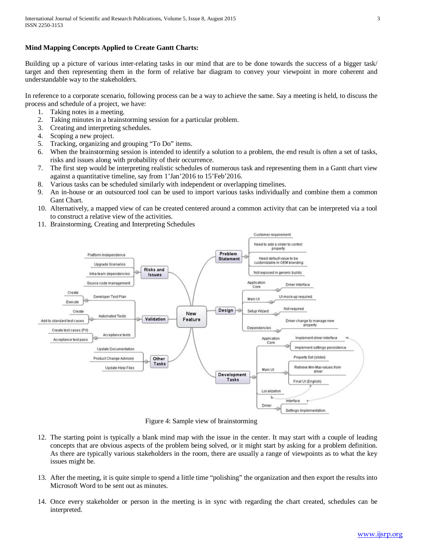## **Mind Mapping Concepts Applied to Create Gantt Charts:**

Building up a picture of various inter-relating tasks in our mind that are to be done towards the success of a bigger task/ target and then representing them in the form of relative bar diagram to convey your viewpoint in more coherent and understandable way to the stakeholders.

In reference to a corporate scenario, following process can be a way to achieve the same. Say a meeting is held, to discuss the process and schedule of a project, we have:

- 1. Taking notes in a meeting.
- 2. Taking minutes in a brainstorming session for a particular problem.
- 3. Creating and interpreting schedules.
- 4. Scoping a new project.
- 5. Tracking, organizing and grouping "To Do" items.
- 6. When the brainstorming session is intended to identify a solution to a problem, the end result is often a set of tasks, risks and issues along with probability of their occurrence.
- 7. The first step would be interpreting realistic schedules of numerous task and representing them in a Gantt chart view against a quantitative timeline, say from 1'Jan'2016 to 15'Feb'2016.
- 8. Various tasks can be scheduled similarly with independent or overlapping timelines.
- 9. An in-house or an outsourced tool can be used to import various tasks individually and combine them a common Gant Chart.
- 10. Alternatively, a mapped view of can be created centered around a common activity that can be interpreted via a tool to construct a relative view of the activities.
- 11. Brainstorming, Creating and Interpreting Schedules



Figure 4: Sample view of brainstorming

- 12. The starting point is typically a blank mind map with the issue in the center. It may start with a couple of leading concepts that are obvious aspects of the problem being solved, or it might start by asking for a problem definition. As there are typically various stakeholders in the room, there are usually a range of viewpoints as to what the key issues might be.
- 13. After the meeting, it is quite simple to spend a little time "polishing" the organization and then export the results into Microsoft Word to be sent out as minutes.
- 14. Once every stakeholder or person in the meeting is in sync with regarding the chart created, schedules can be interpreted.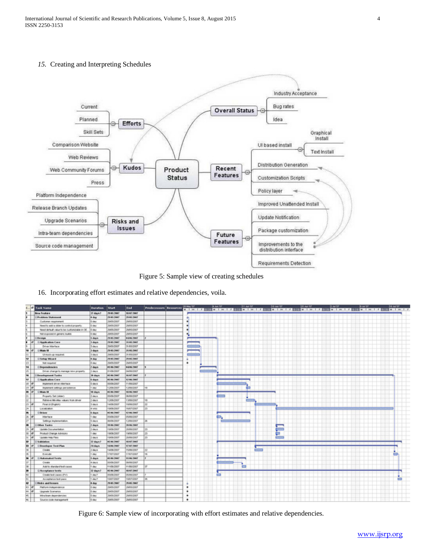International Journal of Scientific and Research Publications, Volume 5, Issue 8, August 2015 4 ISSN 2250-3153

#### *15.* Creating and Interpreting Schedules



Figure 5: Sample view of creating schedules

16. Incorporating effort estimates and relative dependencies, voila.

|                          | <b>Carl Task Name</b>                       | <b>Duration</b>   | <b>Start</b>        | <b>TAB</b>         | <b>Predecessors Resources</b> |   | ik Jan Hil |          | 31.3A ST | <b>NB Jun 107</b> |   | DK Jun Ki |  | Dart |  | 推測型 |  | <b>36.84%</b><br><u> I with sis with this with sis with sis with the with sis with sis with sis with the with</u> |
|--------------------------|---------------------------------------------|-------------------|---------------------|--------------------|-------------------------------|---|------------|----------|----------|-------------------|---|-----------|--|------|--|-----|--|-------------------------------------------------------------------------------------------------------------------|
|                          | <b>Brailedge</b>                            | 37 days?          | <b>298462667</b>    | 18.67 (1987)       |                               |   |            |          |          |                   |   |           |  |      |  |     |  |                                                                                                                   |
|                          | Problem Statement                           | <b>H</b> day      | <b>29 et [us)</b>   | <b>Phillipped</b>  |                               | ٠ |            |          |          |                   |   |           |  |      |  |     |  |                                                                                                                   |
|                          | Customer resultanent                        | G day             | 264MJ00KM           | 2005040007         |                               |   |            |          |          |                   |   |           |  |      |  |     |  |                                                                                                                   |
|                          | Need for with a claim for control property. | G day             | <b>JIMMUOIMIT</b>   | 20/04/2022         |                               |   |            |          |          |                   |   |           |  |      |  |     |  |                                                                                                                   |
|                          | Need default value to be customated at CIE. | $-10$ day         | NAMADOUST           | 2005/0007          |                               |   |            |          |          |                   |   |           |  |      |  |     |  |                                                                                                                   |
|                          | Not exposed in generic builds               | <b>G</b> day      | 29406/2007          | 29/05/2007         |                               |   |            |          |          |                   |   |           |  |      |  |     |  |                                                                                                                   |
|                          | <b>Benign</b>                               | 5 days            | <b>1986/1987</b>    | 44967907           |                               |   |            |          |          |                   |   |           |  |      |  |     |  |                                                                                                                   |
|                          | <b>E</b> Application Core                   | 3 days            | <b>PS 01-7667</b>   | 11:45-2447         |                               |   |            |          |          |                   |   |           |  |      |  |     |  |                                                                                                                   |
|                          | <b>Driver Interface</b>                     | 3 days            | NUMBER              | 14.814.0007        |                               |   |            |          |          |                   |   |           |  |      |  |     |  |                                                                                                                   |
| <b>NB</b>                | <b>Citizen 18</b>                           | 3 days            | <b>29462001</b>     | 26.65.2007         |                               |   |            |          |          |                   |   |           |  |      |  |     |  |                                                                                                                   |
| ÌШ                       | U molt up requeed.                          | 3 days            | <b>JIMAN CORP</b>   | 31/07/2007         |                               |   |            |          |          |                   |   |           |  |      |  |     |  |                                                                                                                   |
| m                        | <b>Elfortug Militar d</b>                   | # day             | 7546.7647           | 7541-7667          |                               |   |            |          |          |                   |   |           |  |      |  |     |  |                                                                                                                   |
| ю                        | <b>NE required</b>                          | 3 day             | 26460007            | Net45007           |                               | ٠ |            |          |          |                   |   |           |  |      |  |     |  |                                                                                                                   |
| N4                       | (il the goodway size to                     | 2 days            | 915 NG 7987         | 04063907           |                               |   |            |          |          |                   |   |           |  |      |  |     |  |                                                                                                                   |
| m                        | Oriver change to manage new property.       | 3 days            | DISABLOGIES         | 06/06/0007         |                               |   |            |          |          |                   |   |           |  |      |  |     |  |                                                                                                                   |
| ₩                        | <b>Development Tasks</b>                    | 30 days           | <b>95 96 7967</b>   | <b>96.67.2967</b>  |                               |   |            |          |          |                   |   |           |  |      |  |     |  |                                                                                                                   |
| w                        | <b>El Application Core</b>                  | <b>K days</b>     | <b>ML Rd. 24H1</b>  | 120120-017         |                               |   |            |          |          |                   |   |           |  |      |  |     |  |                                                                                                                   |
| 冨                        | <b>Inponent driver interface</b>            | 5 devs            | 05/06/2007          | 11/06/2007         |                               |   |            |          |          |                   |   |           |  |      |  |     |  |                                                                                                                   |
| <b>International</b>     | ingianant settings persistence              | 1 day             | 12496-0067          | 12060-0007         |                               |   |            |          |          |                   |   |           |  |      |  |     |  |                                                                                                                   |
| $\overline{ }$           | Citatules 18                                | 100 diam'r.       | <b>BS RG (1987)</b> | 18.04.2467         |                               |   |            |          |          |                   |   |           |  |      |  |     |  |                                                                                                                   |
| ь                        | <b>Property Sat (skier)</b>                 | 3 days            | MANAGED             | 00/06/00/2         |                               |   |            |          |          |                   |   |           |  |      |  |     |  |                                                                                                                   |
| e                        | Retrieve Minubles values from driver        | 2 days            | 12/06/2007          | 13860007           | na                            |   |            |          |          |                   |   |           |  |      |  |     |  |                                                                                                                   |
| $23 - 9$                 | Few U (English)                             | 3 days            | 400,000             | 10060007           | lzo                           |   |            |          |          |                   |   |           |  |      |  |     |  |                                                                                                                   |
| $\overline{\phantom{a}}$ | Locatoene                                   | <b>A WEE</b>      | 1506/2007           | 16/67/2007         | lzs                           |   |            |          |          |                   |   |           |  |      |  |     |  |                                                                                                                   |
| $\overline{a}$           | <b>El Belusso</b>                           | <b>K</b> diary    | 85.86.7667          | 1244 2447          |                               |   |            |          |          |                   |   |           |  |      |  |     |  |                                                                                                                   |
| DS-                      | <b>Herbale</b>                              | 1 day             | 05/06/2007          | 05/06/2007         |                               |   |            |          |          |                   |   |           |  |      |  |     |  |                                                                                                                   |
| br                       | Sellings Inglementation                     | 5 days            | DEADLOCKER          | 124902007          | lж                            |   |            |          |          |                   |   |           |  |      |  |     |  |                                                                                                                   |
| ×                        | <b>Column Taxket</b>                        | 2 days            | <b>EN 64.7647</b>   | <b>36 86 3667</b>  |                               |   |            |          |          |                   |   |           |  |      |  |     |  |                                                                                                                   |
| <b>LTP</b>               | Update Disturbertation                      | 3 days            | <b>ESANDEEP</b>     | 2006/0007          | m                             |   |            |          |          |                   |   |           |  |      |  |     |  |                                                                                                                   |
| 20 0                     | Product Change Advisory                     | dev               | <b>SEACOO</b>       | 1906/2007          | n                             |   |            |          |          |                   | Þ |           |  |      |  |     |  |                                                                                                                   |
| 31                       | Update rang-Fleet                           | devs              | 10/06/2017          | <b>State</b> /Job/ |                               |   |            |          |          |                   | - |           |  |      |  |     |  |                                                                                                                   |
| w                        | Validation                                  | <b>III dark ?</b> | <b>85.96.7987</b>   | 18.67.7467         |                               |   |            |          |          |                   |   |           |  |      |  |     |  |                                                                                                                   |
| 'n<br>œ۱                 | <b>Elleveloper Test Plan</b>                | 24 days           | 14967987            | 17472967           |                               |   |            |          |          |                   |   |           |  |      |  |     |  |                                                                                                                   |
| 冨                        | Owde                                        | 1 days            | <b>MARIOTECT</b>    | <b>FURNITURE</b>   |                               |   |            |          |          |                   |   |           |  |      |  |     |  |                                                                                                                   |
| m                        | <b>Execute</b>                              | dwy               | 1/VEROIST           | 1 FAIA COUP        |                               |   |            |          |          |                   |   |           |  |      |  |     |  |                                                                                                                   |
| ×                        | <b>E.Automated Texts</b>                    | 5 days            | <b>85 86 7887</b>   | 1104-2007          |                               |   |            |          |          |                   |   |           |  |      |  |     |  |                                                                                                                   |
|                          | Owen                                        | 4 days            | <b>MANUFACT</b>     | 000000007          |                               |   |            |          |          |                   |   |           |  |      |  |     |  |                                                                                                                   |
| lм                       | Add to standard first cases                 | 1 day             | 11/06/09/1          | 11/06/0007         |                               |   |            |          | ▬        |                   |   |           |  |      |  |     |  |                                                                                                                   |
| m                        | C.Acceptance tests                          | 32 days?          | 05.04.7mm F         | 18.67.2967         |                               |   |            |          |          |                   |   |           |  |      |  |     |  |                                                                                                                   |
| 40                       | Create last capes (PV)                      | Lake <sup>3</sup> | DEADLOCK!           | <b>DEAN DOOR</b>   |                               |   |            | $\equiv$ |          |                   |   |           |  |      |  |     |  |                                                                                                                   |
| π                        | Acceptance facil pack                       | 1 day?            | <b>MADTOSOF</b>     | 18870007           | 36                            |   |            |          |          |                   |   |           |  |      |  |     |  | $\Box$                                                                                                            |
| ÷                        | <b>Rinks and Issues</b>                     | # day             | 29-91-2447          | 2646-2667          |                               |   |            |          |          |                   |   |           |  |      |  |     |  |                                                                                                                   |
| H3                       | Pattorn intependence                        | (i) day           | 29406/2067          | 26460007           |                               | ٠ |            |          |          |                   |   |           |  |      |  |     |  |                                                                                                                   |
| $\overline{1}$           | <b>Upgrade Scenarios</b>                    | il day            | DIMAGES!            | NetHLOOKIT         |                               |   |            |          |          |                   |   |           |  |      |  |     |  |                                                                                                                   |
| ш<br>些                   | Intra-loan dependencies                     | G day             | <b>SIMMUDIES</b>    | 20/05/2022         |                               |   |            |          |          |                   |   |           |  |      |  |     |  |                                                                                                                   |
| m.                       | Triumphram abob attunt                      | G day             | 26/06/2007          | 200502007          |                               |   |            |          |          |                   |   |           |  |      |  |     |  |                                                                                                                   |

Figure 6: Sample view of incorporating with effort estimates and relative dependencies.